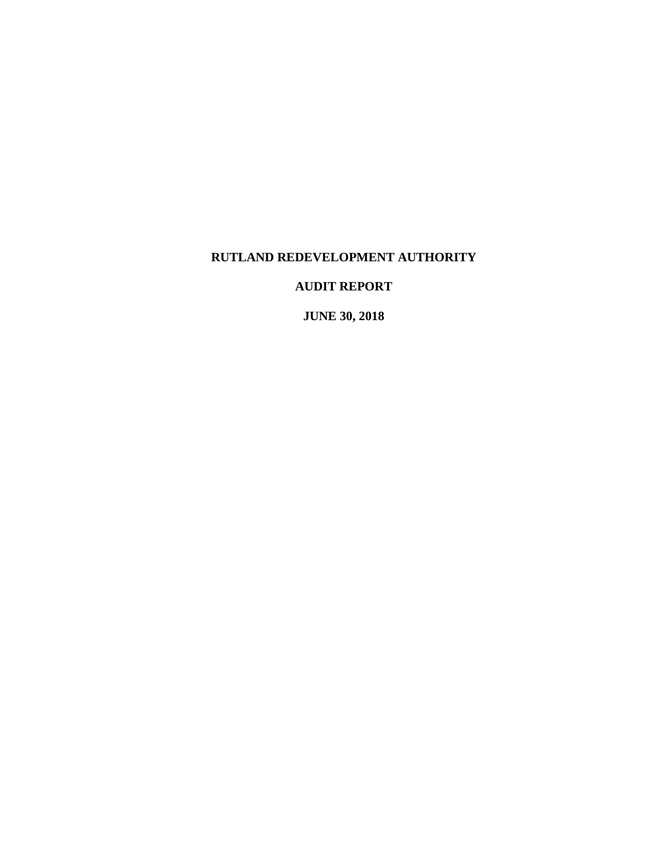# **RUTLAND REDEVELOPMENT AUTHORITY**

# **AUDIT REPORT**

**JUNE 30, 2018**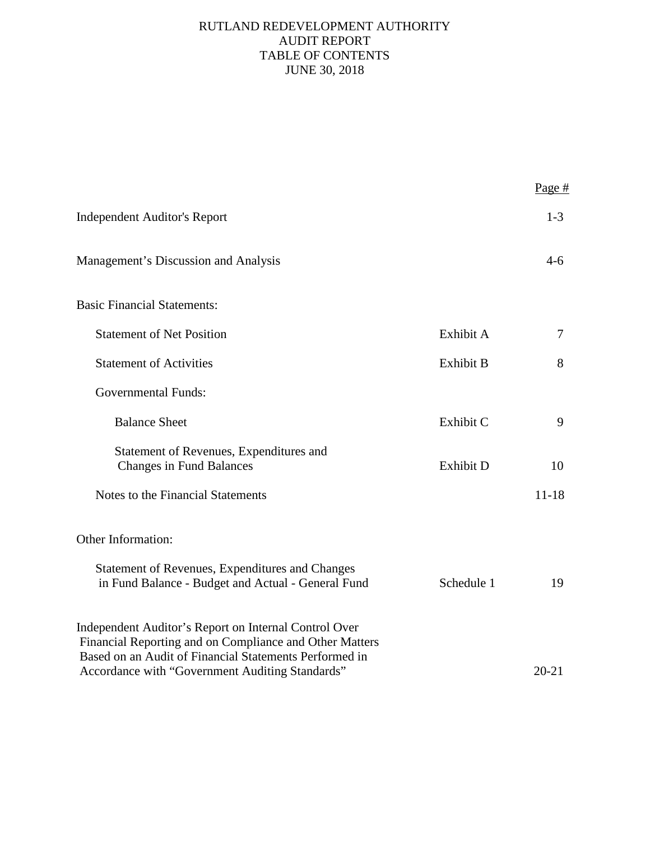# RUTLAND REDEVELOPMENT AUTHORITY AUDIT REPORT TABLE OF CONTENTS JUNE 30, 2018

|                                                                                                                                                                            |            | Page $#$  |
|----------------------------------------------------------------------------------------------------------------------------------------------------------------------------|------------|-----------|
| <b>Independent Auditor's Report</b>                                                                                                                                        |            | $1-3$     |
| Management's Discussion and Analysis                                                                                                                                       |            | $4 - 6$   |
| <b>Basic Financial Statements:</b>                                                                                                                                         |            |           |
| <b>Statement of Net Position</b>                                                                                                                                           | Exhibit A  | 7         |
| <b>Statement of Activities</b>                                                                                                                                             | Exhibit B  | 8         |
| <b>Governmental Funds:</b>                                                                                                                                                 |            |           |
| <b>Balance Sheet</b>                                                                                                                                                       | Exhibit C  | 9         |
| Statement of Revenues, Expenditures and<br><b>Changes in Fund Balances</b>                                                                                                 | Exhibit D  | 10        |
| Notes to the Financial Statements                                                                                                                                          |            | $11 - 18$ |
| Other Information:                                                                                                                                                         |            |           |
| Statement of Revenues, Expenditures and Changes<br>in Fund Balance - Budget and Actual - General Fund                                                                      | Schedule 1 | 19        |
| Independent Auditor's Report on Internal Control Over<br>Financial Reporting and on Compliance and Other Matters<br>Based on an Audit of Financial Statements Performed in |            |           |
| Accordance with "Government Auditing Standards"                                                                                                                            |            | $20 - 21$ |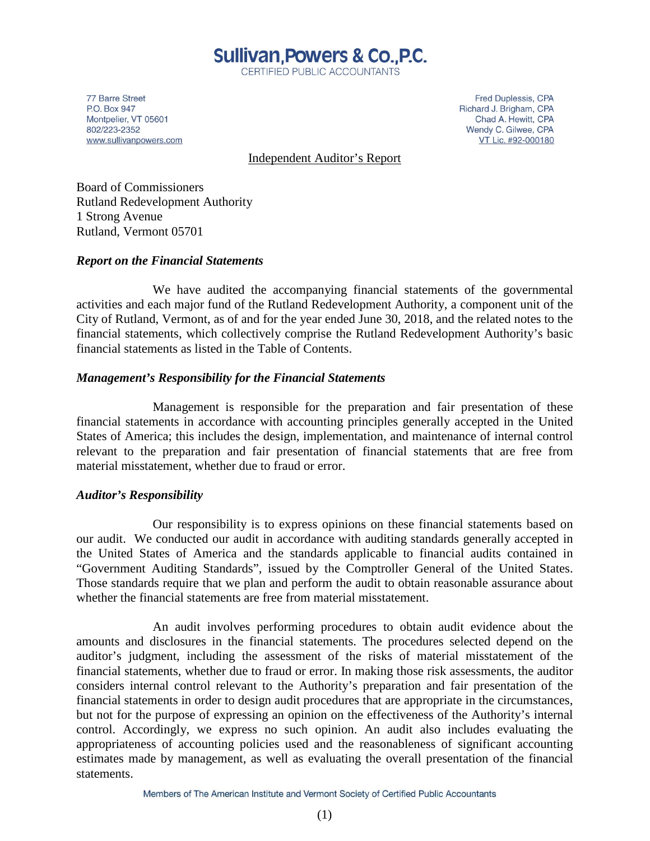

**77 Barre Street** P.O. Box 947 Montpelier, VT 05601 802/223-2352 www.sullivanpowers.com

Fred Duplessis, CPA Richard J. Brigham, CPA Chad A. Hewitt, CPA Wendy C. Gilwee, CPA VT Lic. #92-000180

#### Independent Auditor's Report

Board of Commissioners Rutland Redevelopment Authority 1 Strong Avenue Rutland, Vermont 05701

#### *Report on the Financial Statements*

We have audited the accompanying financial statements of the governmental activities and each major fund of the Rutland Redevelopment Authority, a component unit of the City of Rutland, Vermont, as of and for the year ended June 30, 2018, and the related notes to the financial statements, which collectively comprise the Rutland Redevelopment Authority's basic financial statements as listed in the Table of Contents.

#### *Management's Responsibility for the Financial Statements*

Management is responsible for the preparation and fair presentation of these financial statements in accordance with accounting principles generally accepted in the United States of America; this includes the design, implementation, and maintenance of internal control relevant to the preparation and fair presentation of financial statements that are free from material misstatement, whether due to fraud or error.

#### *Auditor's Responsibility*

Our responsibility is to express opinions on these financial statements based on our audit. We conducted our audit in accordance with auditing standards generally accepted in the United States of America and the standards applicable to financial audits contained in "Government Auditing Standards", issued by the Comptroller General of the United States. Those standards require that we plan and perform the audit to obtain reasonable assurance about whether the financial statements are free from material misstatement.

An audit involves performing procedures to obtain audit evidence about the amounts and disclosures in the financial statements. The procedures selected depend on the auditor's judgment, including the assessment of the risks of material misstatement of the financial statements, whether due to fraud or error. In making those risk assessments, the auditor considers internal control relevant to the Authority's preparation and fair presentation of the financial statements in order to design audit procedures that are appropriate in the circumstances, but not for the purpose of expressing an opinion on the effectiveness of the Authority's internal control. Accordingly, we express no such opinion. An audit also includes evaluating the appropriateness of accounting policies used and the reasonableness of significant accounting estimates made by management, as well as evaluating the overall presentation of the financial statements.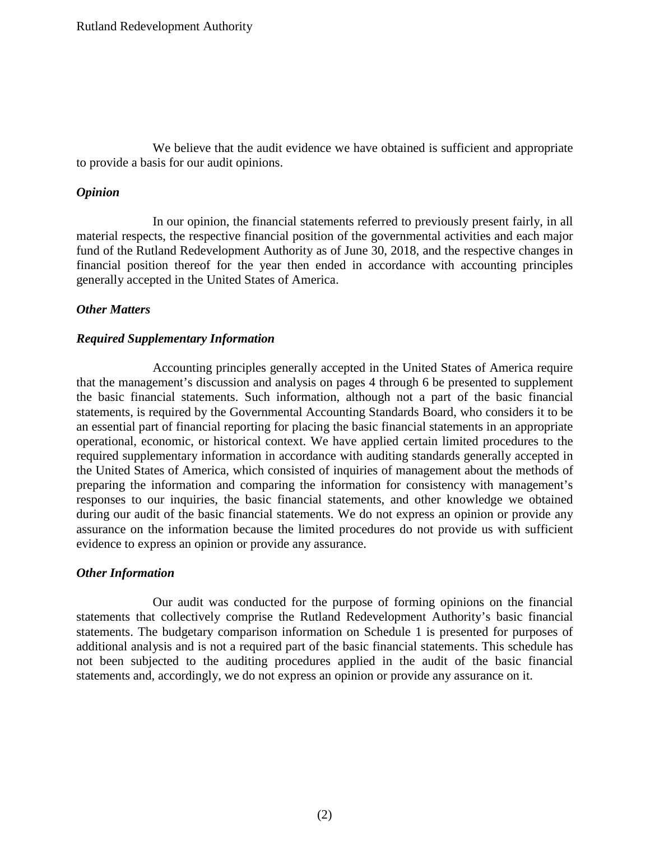Rutland Redevelopment Authority

We believe that the audit evidence we have obtained is sufficient and appropriate to provide a basis for our audit opinions.

#### *Opinion*

In our opinion, the financial statements referred to previously present fairly, in all material respects, the respective financial position of the governmental activities and each major fund of the Rutland Redevelopment Authority as of June 30, 2018, and the respective changes in financial position thereof for the year then ended in accordance with accounting principles generally accepted in the United States of America.

#### *Other Matters*

#### *Required Supplementary Information*

Accounting principles generally accepted in the United States of America require that the management's discussion and analysis on pages 4 through 6 be presented to supplement the basic financial statements. Such information, although not a part of the basic financial statements, is required by the Governmental Accounting Standards Board, who considers it to be an essential part of financial reporting for placing the basic financial statements in an appropriate operational, economic, or historical context. We have applied certain limited procedures to the required supplementary information in accordance with auditing standards generally accepted in the United States of America, which consisted of inquiries of management about the methods of preparing the information and comparing the information for consistency with management's responses to our inquiries, the basic financial statements, and other knowledge we obtained during our audit of the basic financial statements. We do not express an opinion or provide any assurance on the information because the limited procedures do not provide us with sufficient evidence to express an opinion or provide any assurance.

#### *Other Information*

Our audit was conducted for the purpose of forming opinions on the financial statements that collectively comprise the Rutland Redevelopment Authority's basic financial statements. The budgetary comparison information on Schedule 1 is presented for purposes of additional analysis and is not a required part of the basic financial statements. This schedule has not been subjected to the auditing procedures applied in the audit of the basic financial statements and, accordingly, we do not express an opinion or provide any assurance on it.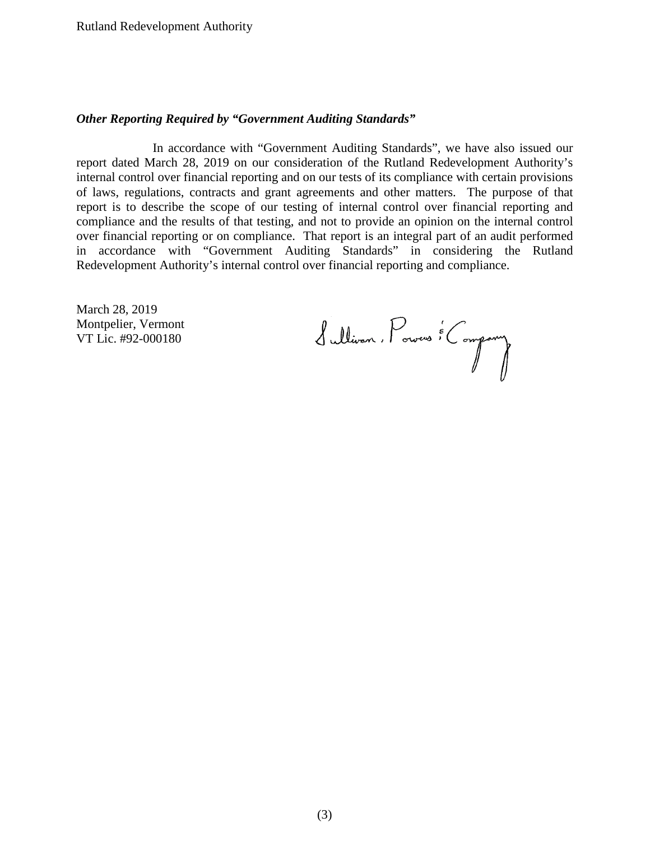Rutland Redevelopment Authority

#### *Other Reporting Required by "Government Auditing Standards"*

In accordance with "Government Auditing Standards", we have also issued our report dated March 28, 2019 on our consideration of the Rutland Redevelopment Authority's internal control over financial reporting and on our tests of its compliance with certain provisions of laws, regulations, contracts and grant agreements and other matters. The purpose of that report is to describe the scope of our testing of internal control over financial reporting and compliance and the results of that testing, and not to provide an opinion on the internal control over financial reporting or on compliance. That report is an integral part of an audit performed in accordance with "Government Auditing Standards" in considering the Rutland Redevelopment Authority's internal control over financial reporting and compliance.

March 28, 2019 Montpelier, Vermont VT Lic. #92-000180

Sullivan, Powers : Company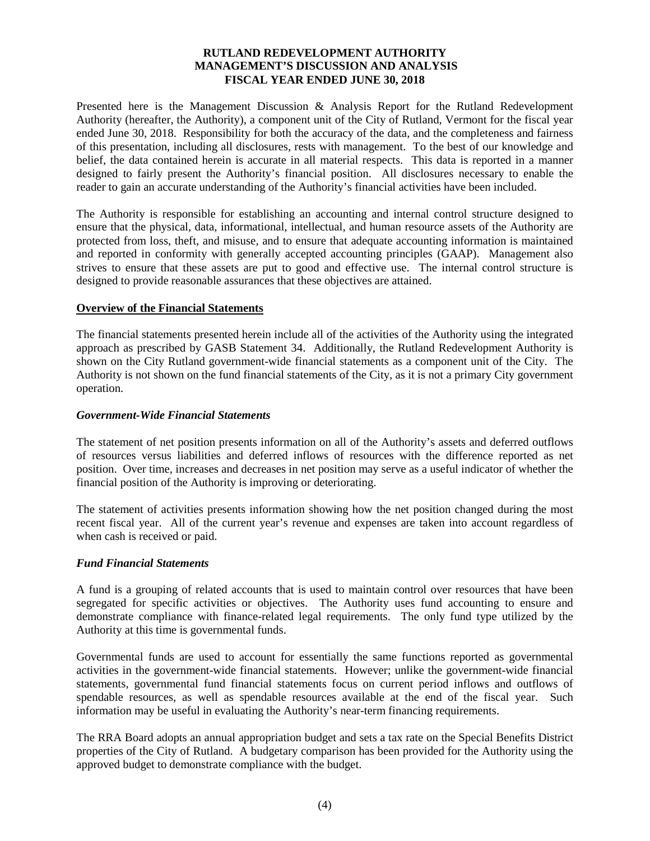#### **RUTLAND REDEVELOPMENT AUTHORITY MANAGEMENT'S DISCUSSION AND ANALYSIS FISCAL YEAR ENDED JUNE 30, 2018**

Presented here is the Management Discussion & Analysis Report for the Rutland Redevelopment Authority (hereafter, the Authority), a component unit of the City of Rutland, Vermont for the fiscal year ended June 30, 2018. Responsibility for both the accuracy of the data, and the completeness and fairness of this presentation, including all disclosures, rests with management. To the best of our knowledge and belief, the data contained herein is accurate in all material respects. This data is reported in a manner designed to fairly present the Authority's financial position. All disclosures necessary to enable the reader to gain an accurate understanding of the Authority's financial activities have been included.

The Authority is responsible for establishing an accounting and internal control structure designed to ensure that the physical, data, informational, intellectual, and human resource assets of the Authority are protected from loss, theft, and misuse, and to ensure that adequate accounting information is maintained and reported in conformity with generally accepted accounting principles (GAAP). Management also strives to ensure that these assets are put to good and effective use. The internal control structure is designed to provide reasonable assurances that these objectives are attained.

#### **Overview of the Financial Statements**

The financial statements presented herein include all of the activities of the Authority using the integrated approach as prescribed by GASB Statement 34. Additionally, the Rutland Redevelopment Authority is shown on the City Rutland government-wide financial statements as a component unit of the City. The Authority is not shown on the fund financial statements of the City, as it is not a primary City government operation.

#### *Government-Wide Financial Statements*

The statement of net position presents information on all of the Authority's assets and deferred outflows of resources versus liabilities and deferred inflows of resources with the difference reported as net position. Over time, increases and decreases in net position may serve as a useful indicator of whether the financial position of the Authority is improving or deteriorating.

The statement of activities presents information showing how the net position changed during the most recent fiscal year. All of the current year's revenue and expenses are taken into account regardless of when cash is received or paid.

#### *Fund Financial Statements*

A fund is a grouping of related accounts that is used to maintain control over resources that have been segregated for specific activities or objectives. The Authority uses fund accounting to ensure and demonstrate compliance with finance-related legal requirements. The only fund type utilized by the Authority at this time is governmental funds.

Governmental funds are used to account for essentially the same functions reported as governmental activities in the government-wide financial statements. However; unlike the government-wide financial statements, governmental fund financial statements focus on current period inflows and outflows of spendable resources, as well as spendable resources available at the end of the fiscal year. Such information may be useful in evaluating the Authority's near-term financing requirements.

The RRA Board adopts an annual appropriation budget and sets a tax rate on the Special Benefits District properties of the City of Rutland. A budgetary comparison has been provided for the Authority using the approved budget to demonstrate compliance with the budget.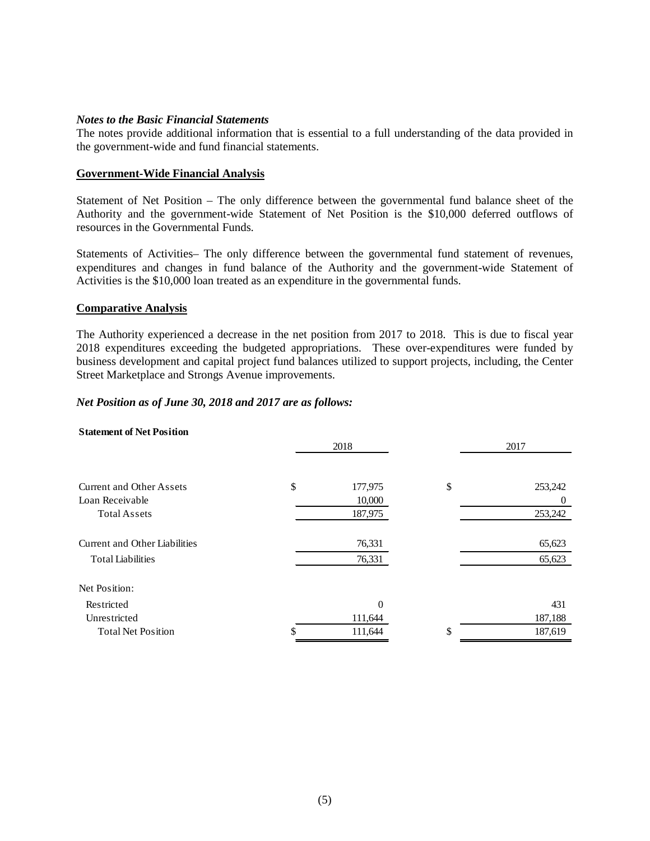#### *Notes to the Basic Financial Statements*

The notes provide additional information that is essential to a full understanding of the data provided in the government-wide and fund financial statements.

#### **Government-Wide Financial Analysis**

Statement of Net Position – The only difference between the governmental fund balance sheet of the Authority and the government-wide Statement of Net Position is the \$10,000 deferred outflows of resources in the Governmental Funds.

Statements of Activities– The only difference between the governmental fund statement of revenues, expenditures and changes in fund balance of the Authority and the government-wide Statement of Activities is the \$10,000 loan treated as an expenditure in the governmental funds.

#### **Comparative Analysis**

The Authority experienced a decrease in the net position from 2017 to 2018. This is due to fiscal year 2018 expenditures exceeding the budgeted appropriations. These over-expenditures were funded by business development and capital project fund balances utilized to support projects, including, the Center Street Marketplace and Strongs Avenue improvements.

#### *Net Position as of June 30, 2018 and 2017 are as follows:*

#### **Statement of Net Position**

|                               | 2018 |          | 2017          |  |
|-------------------------------|------|----------|---------------|--|
| Current and Other Assets      | \$   | 177,975  | \$<br>253,242 |  |
| Loan Receivable               |      | 10,000   | $\theta$      |  |
| <b>Total Assets</b>           |      | 187,975  | 253,242       |  |
| Current and Other Liabilities |      | 76,331   | 65,623        |  |
| <b>Total Liabilities</b>      |      | 76,331   | 65,623        |  |
| Net Position:                 |      |          |               |  |
| Restricted                    |      | $\theta$ | 431           |  |
| Unrestricted                  |      | 111,644  | 187,188       |  |
| <b>Total Net Position</b>     | \$   | 111,644  | \$<br>187,619 |  |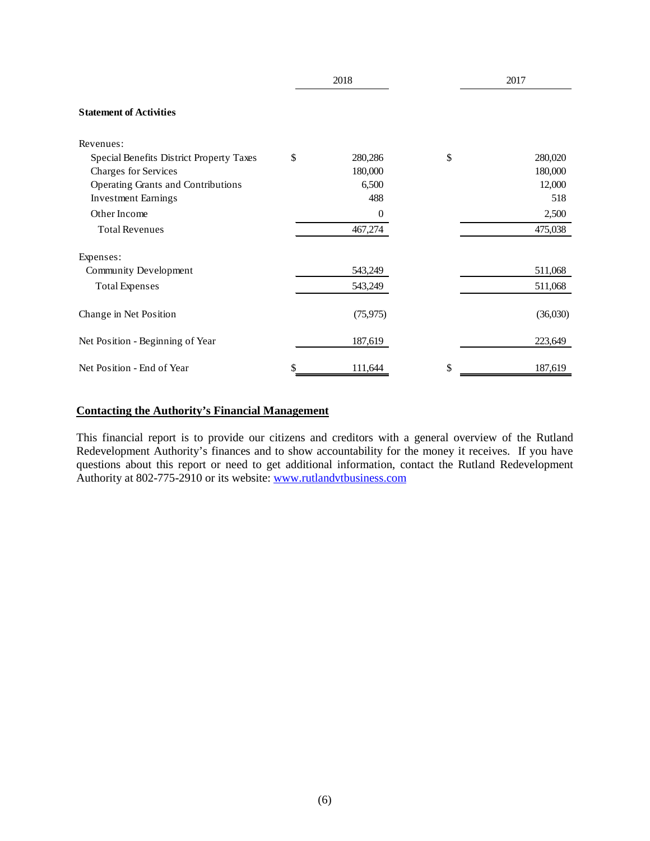|                                          | 2018          | 2017          |  |  |
|------------------------------------------|---------------|---------------|--|--|
| <b>Statement of Activities</b>           |               |               |  |  |
| Revenues:                                |               |               |  |  |
| Special Benefits District Property Taxes | \$<br>280,286 | \$<br>280,020 |  |  |
| <b>Charges for Services</b>              | 180,000       | 180,000       |  |  |
| Operating Grants and Contributions       | 6,500         | 12,000        |  |  |
| <b>Investment Earnings</b>               | 488           | 518           |  |  |
| Other Income                             | $\Omega$      | 2,500         |  |  |
| <b>Total Revenues</b>                    | 467,274       | 475,038       |  |  |
| Expenses:                                |               |               |  |  |
| Community Development                    | 543,249       | 511,068       |  |  |
| <b>Total Expenses</b>                    | 543,249       | 511,068       |  |  |
| Change in Net Position                   | (75, 975)     | (36,030)      |  |  |
| Net Position - Beginning of Year         | 187,619       | 223,649       |  |  |
| Net Position - End of Year               | \$<br>111,644 | \$<br>187,619 |  |  |

#### **Contacting the Authority's Financial Management**

This financial report is to provide our citizens and creditors with a general overview of the Rutland Redevelopment Authority's finances and to show accountability for the money it receives. If you have questions about this report or need to get additional information, contact the Rutland Redevelopment Authority at 802-775-2910 or its website: [www.rutlandvtbusiness.com](http://www.rutlandvtbusiness.com/)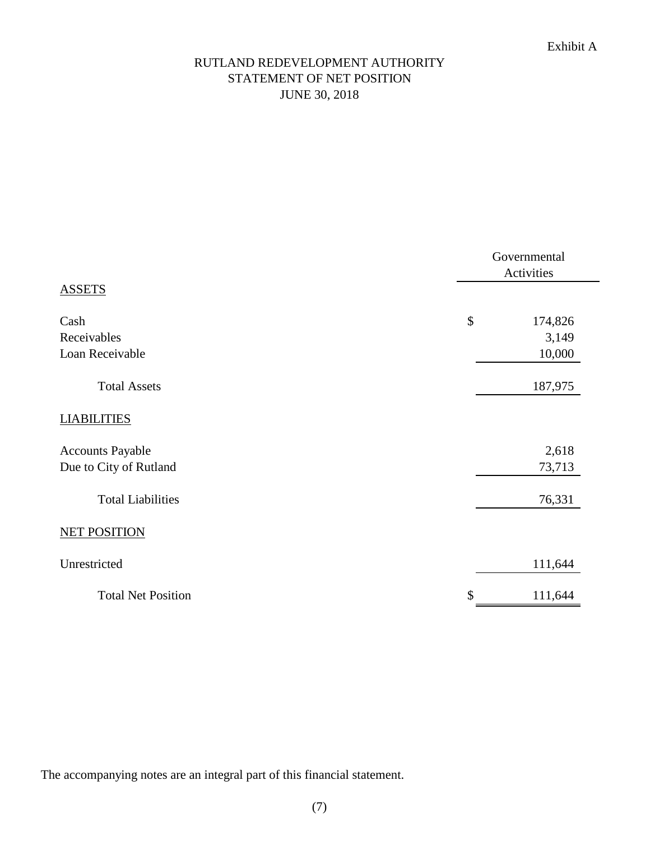# RUTLAND REDEVELOPMENT AUTHORITY STATEMENT OF NET POSITION JUNE 30, 2018

|                           | Governmental<br>Activities |         |  |  |
|---------------------------|----------------------------|---------|--|--|
| <b>ASSETS</b>             |                            |         |  |  |
| Cash                      | \$                         | 174,826 |  |  |
| Receivables               |                            | 3,149   |  |  |
| Loan Receivable           |                            | 10,000  |  |  |
| <b>Total Assets</b>       |                            | 187,975 |  |  |
| <b>LIABILITIES</b>        |                            |         |  |  |
| <b>Accounts Payable</b>   |                            | 2,618   |  |  |
| Due to City of Rutland    |                            | 73,713  |  |  |
| <b>Total Liabilities</b>  |                            | 76,331  |  |  |
| <b>NET POSITION</b>       |                            |         |  |  |
| Unrestricted              |                            | 111,644 |  |  |
| <b>Total Net Position</b> | \$                         | 111,644 |  |  |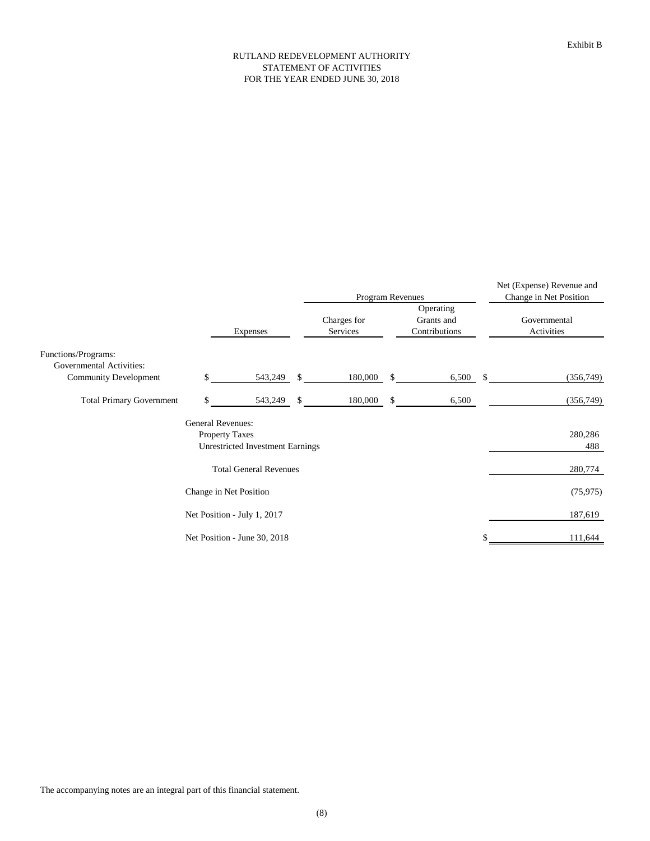#### RUTLAND REDEVELOPMENT AUTHORITY STATEMENT OF ACTIVITIES FOR THE YEAR ENDED JUNE 30, 2018

|                                                 |                                            |                                         |     | Program Revenues        |    |                                          |               | Net (Expense) Revenue and<br>Change in Net Position |
|-------------------------------------------------|--------------------------------------------|-----------------------------------------|-----|-------------------------|----|------------------------------------------|---------------|-----------------------------------------------------|
|                                                 |                                            | Expenses                                |     | Charges for<br>Services |    | Operating<br>Grants and<br>Contributions |               | Governmental<br>Activities                          |
| Functions/Programs:<br>Governmental Activities: |                                            |                                         |     |                         |    |                                          |               |                                                     |
| <b>Community Development</b>                    | \$                                         | 543,249                                 | \$  | 180,000                 | \$ | 6,500                                    | <sup>\$</sup> | (356,749)                                           |
| <b>Total Primary Government</b>                 | \$                                         | 543,249                                 | \$. | 180,000                 | S. | 6,500                                    |               | (356,749)                                           |
|                                                 | <b>General Revenues:</b><br>Property Taxes | <b>Unrestricted Investment Earnings</b> |     |                         |    |                                          |               | 280,286<br>488                                      |
|                                                 |                                            | <b>Total General Revenues</b>           |     |                         |    |                                          |               | 280,774                                             |
|                                                 | Change in Net Position                     |                                         |     |                         |    |                                          |               | (75, 975)                                           |
|                                                 | Net Position - July 1, 2017                |                                         |     |                         |    |                                          |               | 187,619                                             |
|                                                 | Net Position - June 30, 2018               |                                         |     |                         |    |                                          |               | 111,644                                             |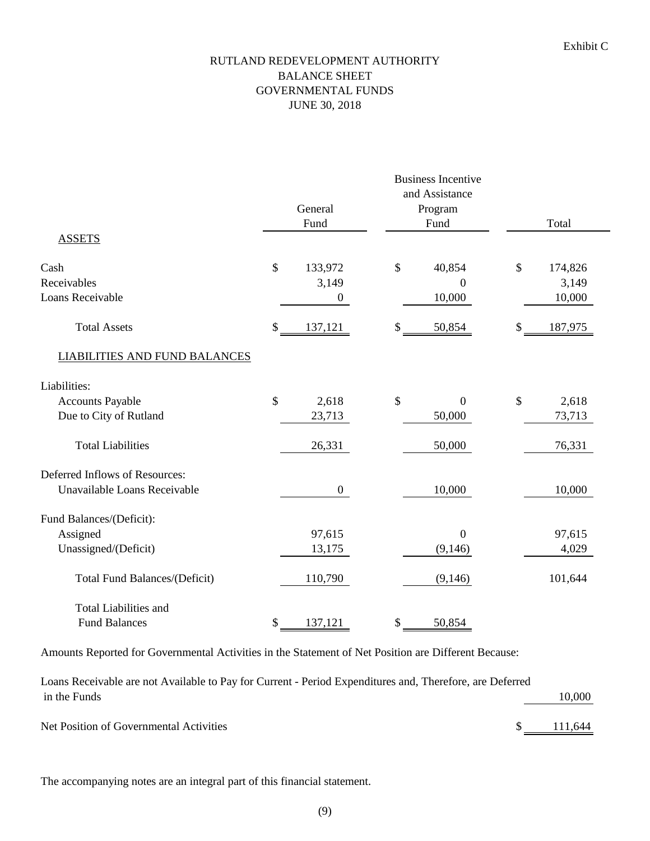## RUTLAND REDEVELOPMENT AUTHORITY BALANCE SHEET GOVERNMENTAL FUNDS JUNE 30, 2018

|                                      |    | General<br>Fund |    | <b>Business Incentive</b><br>and Assistance<br>Program<br>Fund | Total |         |
|--------------------------------------|----|-----------------|----|----------------------------------------------------------------|-------|---------|
| <b>ASSETS</b>                        |    |                 |    |                                                                |       |         |
| Cash                                 | \$ | 133,972         | \$ | 40,854                                                         | \$    | 174,826 |
| Receivables                          |    | 3,149           |    | $\boldsymbol{0}$                                               |       | 3,149   |
| Loans Receivable                     |    | $\mathbf{0}$    |    | 10,000                                                         |       | 10,000  |
| <b>Total Assets</b>                  | \$ | 137,121         | \$ | 50,854                                                         | \$    | 187,975 |
| <b>LIABILITIES AND FUND BALANCES</b> |    |                 |    |                                                                |       |         |
| Liabilities:                         |    |                 |    |                                                                |       |         |
| <b>Accounts Payable</b>              | \$ | 2,618           | \$ | $\Omega$                                                       | \$    | 2,618   |
| Due to City of Rutland               |    | 23,713          |    | 50,000                                                         |       | 73,713  |
| <b>Total Liabilities</b>             |    | 26,331          |    | 50,000                                                         |       | 76,331  |
| Deferred Inflows of Resources:       |    |                 |    |                                                                |       |         |
| Unavailable Loans Receivable         |    | $\overline{0}$  |    | 10,000                                                         |       | 10,000  |
| Fund Balances/(Deficit):             |    |                 |    |                                                                |       |         |
| Assigned                             |    | 97,615          |    | $\Omega$                                                       |       | 97,615  |
| Unassigned/(Deficit)                 |    | 13,175          |    | (9,146)                                                        |       | 4,029   |
| <b>Total Fund Balances/(Deficit)</b> |    | 110,790         |    | (9,146)                                                        |       | 101,644 |
| <b>Total Liabilities and</b>         |    |                 |    |                                                                |       |         |
| <b>Fund Balances</b>                 | \$ | 137,121         | \$ | 50,854                                                         |       |         |

Amounts Reported for Governmental Activities in the Statement of Net Position are Different Because:

| Loans Receivable are not Available to Pay for Current - Period Expenditures and, Therefore, are Deferred |         |
|----------------------------------------------------------------------------------------------------------|---------|
| in the Funds                                                                                             | 10,000  |
|                                                                                                          |         |
| Net Position of Governmental Activities                                                                  | 111,644 |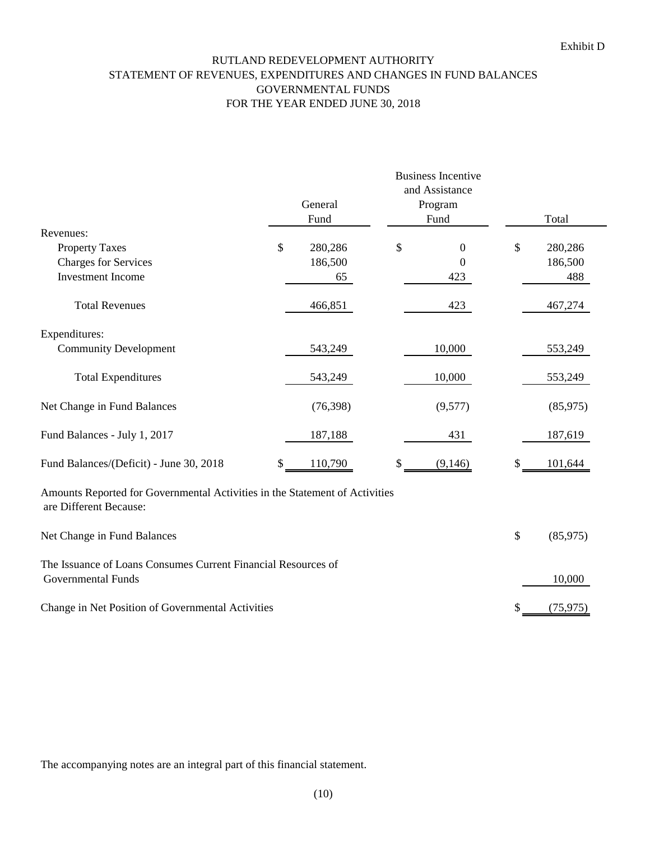#### RUTLAND REDEVELOPMENT AUTHORITY FOR THE YEAR ENDED JUNE 30, 2018 GOVERNMENTAL FUNDS STATEMENT OF REVENUES, EXPENDITURES AND CHANGES IN FUND BALANCES

|                                                                                                       | General<br>Fund | <b>Business Incentive</b><br>and Assistance<br>Program<br>Fund | Total           |
|-------------------------------------------------------------------------------------------------------|-----------------|----------------------------------------------------------------|-----------------|
| Revenues:                                                                                             |                 |                                                                |                 |
| <b>Property Taxes</b>                                                                                 | \$<br>280,286   | \$<br>$\Omega$                                                 | \$<br>280,286   |
| <b>Charges for Services</b>                                                                           | 186,500         | $\overline{0}$                                                 | 186,500         |
| <b>Investment Income</b>                                                                              | 65              | 423                                                            | 488             |
| <b>Total Revenues</b>                                                                                 | 466,851         | 423                                                            | 467,274         |
| Expenditures:                                                                                         |                 |                                                                |                 |
| <b>Community Development</b>                                                                          | 543,249         | 10,000                                                         | 553,249         |
| <b>Total Expenditures</b>                                                                             | 543,249         | 10,000                                                         | 553,249         |
| Net Change in Fund Balances                                                                           | (76, 398)       | (9,577)                                                        | (85,975)        |
| Fund Balances - July 1, 2017                                                                          | 187,188         | 431                                                            | 187,619         |
| Fund Balances/(Deficit) - June 30, 2018                                                               | 110,790         | \$<br>(9,146)                                                  | \$<br>101,644   |
| Amounts Reported for Governmental Activities in the Statement of Activities<br>are Different Because: |                 |                                                                |                 |
| Net Change in Fund Balances                                                                           |                 |                                                                | \$<br>(85,975)  |
| The Issuance of Loans Consumes Current Financial Resources of<br><b>Governmental Funds</b>            |                 |                                                                | 10,000          |
| Change in Net Position of Governmental Activities                                                     |                 |                                                                | \$<br>(75, 975) |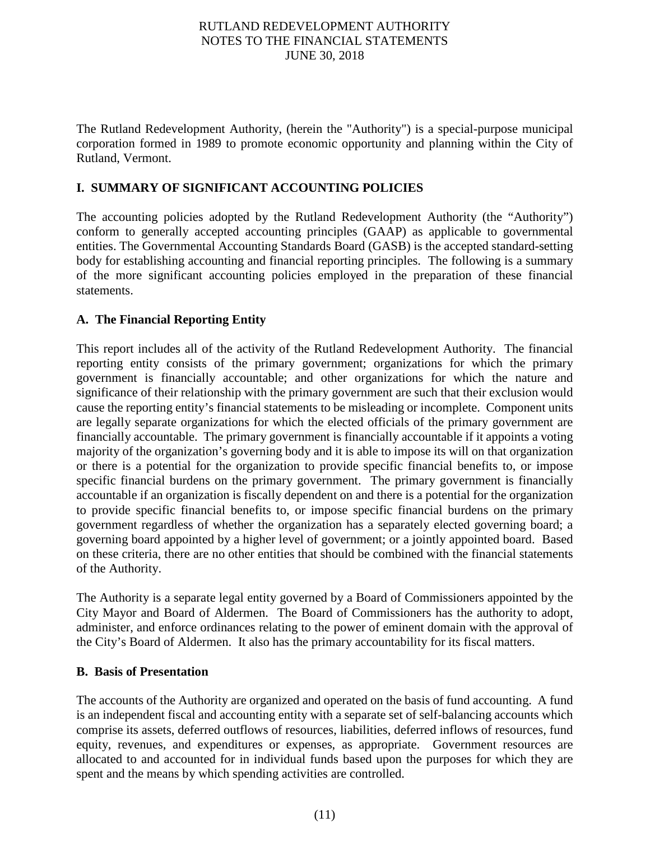The Rutland Redevelopment Authority, (herein the "Authority") is a special-purpose municipal corporation formed in 1989 to promote economic opportunity and planning within the City of Rutland, Vermont.

## **I. SUMMARY OF SIGNIFICANT ACCOUNTING POLICIES**

The accounting policies adopted by the Rutland Redevelopment Authority (the "Authority") conform to generally accepted accounting principles (GAAP) as applicable to governmental entities. The Governmental Accounting Standards Board (GASB) is the accepted standard-setting body for establishing accounting and financial reporting principles. The following is a summary of the more significant accounting policies employed in the preparation of these financial statements.

#### **A. The Financial Reporting Entity**

This report includes all of the activity of the Rutland Redevelopment Authority. The financial reporting entity consists of the primary government; organizations for which the primary government is financially accountable; and other organizations for which the nature and significance of their relationship with the primary government are such that their exclusion would cause the reporting entity's financial statements to be misleading or incomplete. Component units are legally separate organizations for which the elected officials of the primary government are financially accountable. The primary government is financially accountable if it appoints a voting majority of the organization's governing body and it is able to impose its will on that organization or there is a potential for the organization to provide specific financial benefits to, or impose specific financial burdens on the primary government. The primary government is financially accountable if an organization is fiscally dependent on and there is a potential for the organization to provide specific financial benefits to, or impose specific financial burdens on the primary government regardless of whether the organization has a separately elected governing board; a governing board appointed by a higher level of government; or a jointly appointed board. Based on these criteria, there are no other entities that should be combined with the financial statements of the Authority.

The Authority is a separate legal entity governed by a Board of Commissioners appointed by the City Mayor and Board of Aldermen. The Board of Commissioners has the authority to adopt, administer, and enforce ordinances relating to the power of eminent domain with the approval of the City's Board of Aldermen. It also has the primary accountability for its fiscal matters.

#### **B. Basis of Presentation**

The accounts of the Authority are organized and operated on the basis of fund accounting. A fund is an independent fiscal and accounting entity with a separate set of self-balancing accounts which comprise its assets, deferred outflows of resources, liabilities, deferred inflows of resources, fund equity, revenues, and expenditures or expenses, as appropriate. Government resources are allocated to and accounted for in individual funds based upon the purposes for which they are spent and the means by which spending activities are controlled.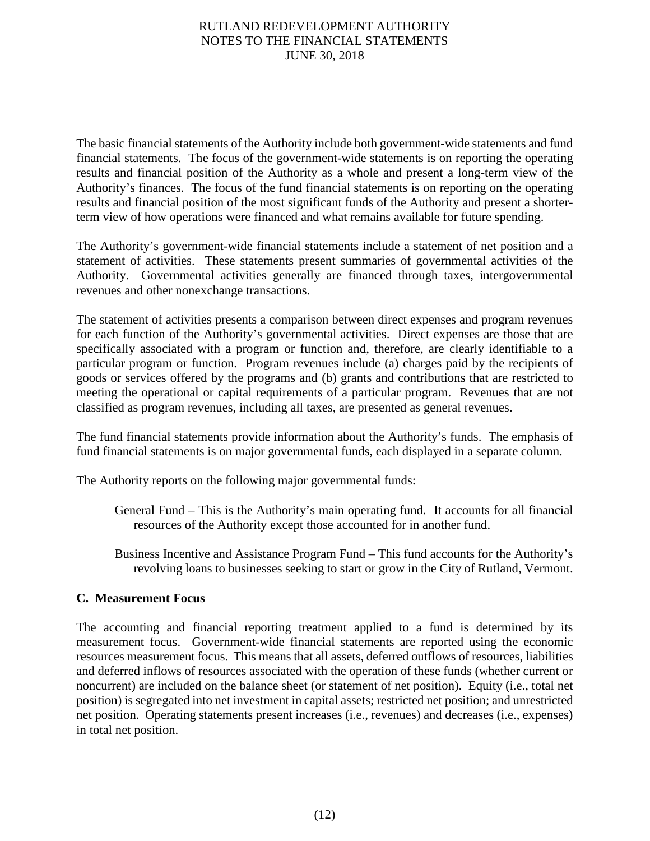The basic financial statements of the Authority include both government-wide statements and fund financial statements. The focus of the government-wide statements is on reporting the operating results and financial position of the Authority as a whole and present a long-term view of the Authority's finances. The focus of the fund financial statements is on reporting on the operating results and financial position of the most significant funds of the Authority and present a shorterterm view of how operations were financed and what remains available for future spending.

The Authority's government-wide financial statements include a statement of net position and a statement of activities. These statements present summaries of governmental activities of the Authority. Governmental activities generally are financed through taxes, intergovernmental revenues and other nonexchange transactions.

The statement of activities presents a comparison between direct expenses and program revenues for each function of the Authority's governmental activities. Direct expenses are those that are specifically associated with a program or function and, therefore, are clearly identifiable to a particular program or function. Program revenues include (a) charges paid by the recipients of goods or services offered by the programs and (b) grants and contributions that are restricted to meeting the operational or capital requirements of a particular program. Revenues that are not classified as program revenues, including all taxes, are presented as general revenues.

The fund financial statements provide information about the Authority's funds. The emphasis of fund financial statements is on major governmental funds, each displayed in a separate column.

The Authority reports on the following major governmental funds:

- General Fund This is the Authority's main operating fund. It accounts for all financial resources of the Authority except those accounted for in another fund.
- Business Incentive and Assistance Program Fund This fund accounts for the Authority's revolving loans to businesses seeking to start or grow in the City of Rutland, Vermont.

## **C. Measurement Focus**

The accounting and financial reporting treatment applied to a fund is determined by its measurement focus. Government-wide financial statements are reported using the economic resources measurement focus. This means that all assets, deferred outflows of resources, liabilities and deferred inflows of resources associated with the operation of these funds (whether current or noncurrent) are included on the balance sheet (or statement of net position). Equity (i.e., total net position) is segregated into net investment in capital assets; restricted net position; and unrestricted net position. Operating statements present increases (i.e., revenues) and decreases (i.e., expenses) in total net position.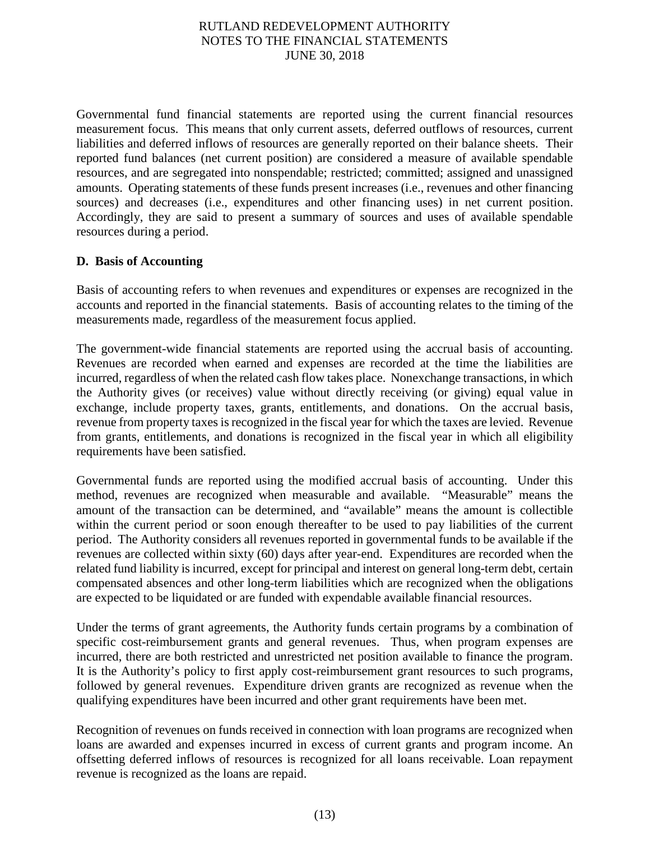Governmental fund financial statements are reported using the current financial resources measurement focus. This means that only current assets, deferred outflows of resources, current liabilities and deferred inflows of resources are generally reported on their balance sheets. Their reported fund balances (net current position) are considered a measure of available spendable resources, and are segregated into nonspendable; restricted; committed; assigned and unassigned amounts. Operating statements of these funds present increases (i.e., revenues and other financing sources) and decreases (i.e., expenditures and other financing uses) in net current position. Accordingly, they are said to present a summary of sources and uses of available spendable resources during a period.

#### **D. Basis of Accounting**

Basis of accounting refers to when revenues and expenditures or expenses are recognized in the accounts and reported in the financial statements. Basis of accounting relates to the timing of the measurements made, regardless of the measurement focus applied.

The government-wide financial statements are reported using the accrual basis of accounting. Revenues are recorded when earned and expenses are recorded at the time the liabilities are incurred, regardless of when the related cash flow takes place. Nonexchange transactions, in which the Authority gives (or receives) value without directly receiving (or giving) equal value in exchange, include property taxes, grants, entitlements, and donations. On the accrual basis, revenue from property taxes is recognized in the fiscal year for which the taxes are levied. Revenue from grants, entitlements, and donations is recognized in the fiscal year in which all eligibility requirements have been satisfied.

Governmental funds are reported using the modified accrual basis of accounting. Under this method, revenues are recognized when measurable and available. "Measurable" means the amount of the transaction can be determined, and "available" means the amount is collectible within the current period or soon enough thereafter to be used to pay liabilities of the current period. The Authority considers all revenues reported in governmental funds to be available if the revenues are collected within sixty (60) days after year-end. Expenditures are recorded when the related fund liability is incurred, except for principal and interest on general long-term debt, certain compensated absences and other long-term liabilities which are recognized when the obligations are expected to be liquidated or are funded with expendable available financial resources.

Under the terms of grant agreements, the Authority funds certain programs by a combination of specific cost-reimbursement grants and general revenues. Thus, when program expenses are incurred, there are both restricted and unrestricted net position available to finance the program. It is the Authority's policy to first apply cost-reimbursement grant resources to such programs, followed by general revenues. Expenditure driven grants are recognized as revenue when the qualifying expenditures have been incurred and other grant requirements have been met.

Recognition of revenues on funds received in connection with loan programs are recognized when loans are awarded and expenses incurred in excess of current grants and program income. An offsetting deferred inflows of resources is recognized for all loans receivable. Loan repayment revenue is recognized as the loans are repaid.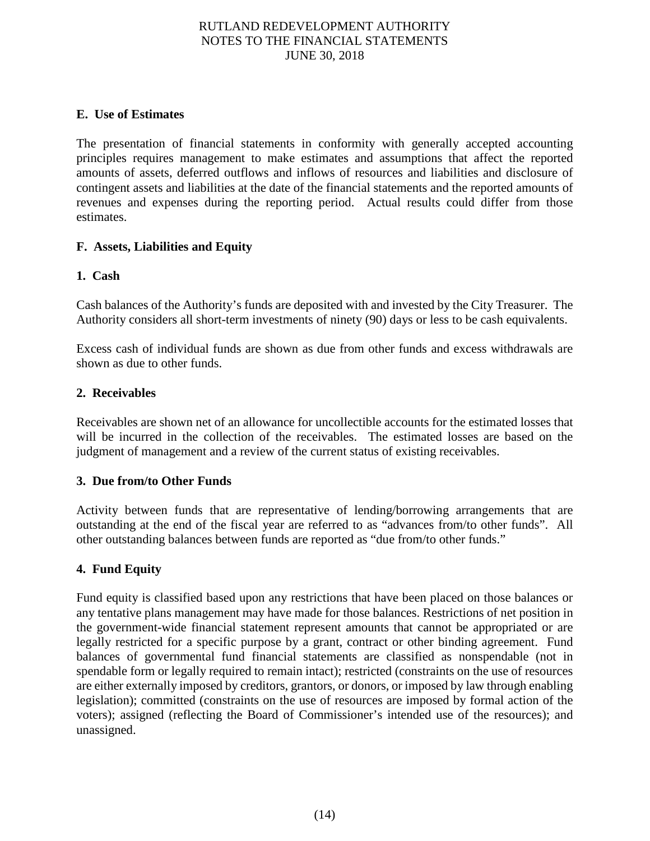## **E. Use of Estimates**

The presentation of financial statements in conformity with generally accepted accounting principles requires management to make estimates and assumptions that affect the reported amounts of assets, deferred outflows and inflows of resources and liabilities and disclosure of contingent assets and liabilities at the date of the financial statements and the reported amounts of revenues and expenses during the reporting period. Actual results could differ from those estimates.

#### **F. Assets, Liabilities and Equity**

#### **1. Cash**

Cash balances of the Authority's funds are deposited with and invested by the City Treasurer. The Authority considers all short-term investments of ninety (90) days or less to be cash equivalents.

Excess cash of individual funds are shown as due from other funds and excess withdrawals are shown as due to other funds.

#### **2. Receivables**

Receivables are shown net of an allowance for uncollectible accounts for the estimated losses that will be incurred in the collection of the receivables. The estimated losses are based on the judgment of management and a review of the current status of existing receivables.

#### **3. Due from/to Other Funds**

Activity between funds that are representative of lending/borrowing arrangements that are outstanding at the end of the fiscal year are referred to as "advances from/to other funds". All other outstanding balances between funds are reported as "due from/to other funds."

#### **4. Fund Equity**

Fund equity is classified based upon any restrictions that have been placed on those balances or any tentative plans management may have made for those balances. Restrictions of net position in the government-wide financial statement represent amounts that cannot be appropriated or are legally restricted for a specific purpose by a grant, contract or other binding agreement. Fund balances of governmental fund financial statements are classified as nonspendable (not in spendable form or legally required to remain intact); restricted (constraints on the use of resources are either externally imposed by creditors, grantors, or donors, or imposed by law through enabling legislation); committed (constraints on the use of resources are imposed by formal action of the voters); assigned (reflecting the Board of Commissioner's intended use of the resources); and unassigned.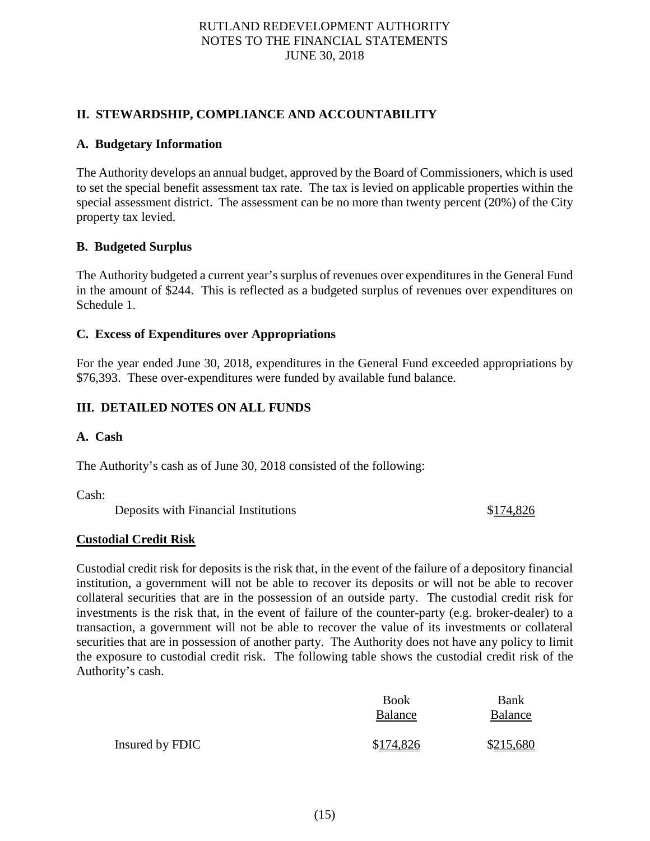## **II. STEWARDSHIP, COMPLIANCE AND ACCOUNTABILITY**

#### **A. Budgetary Information**

The Authority develops an annual budget, approved by the Board of Commissioners, which is used to set the special benefit assessment tax rate. The tax is levied on applicable properties within the special assessment district. The assessment can be no more than twenty percent (20%) of the City property tax levied.

#### **B. Budgeted Surplus**

The Authority budgeted a current year's surplus of revenues over expenditures in the General Fund in the amount of \$244. This is reflected as a budgeted surplus of revenues over expenditures on Schedule 1.

#### **C. Excess of Expenditures over Appropriations**

For the year ended June 30, 2018, expenditures in the General Fund exceeded appropriations by \$76,393. These over-expenditures were funded by available fund balance.

#### **III. DETAILED NOTES ON ALL FUNDS**

#### **A. Cash**

The Authority's cash as of June 30, 2018 consisted of the following:

Cash:

Deposits with Financial Institutions  $$174,826$ 

#### **Custodial Credit Risk**

Custodial credit risk for deposits is the risk that, in the event of the failure of a depository financial institution, a government will not be able to recover its deposits or will not be able to recover collateral securities that are in the possession of an outside party. The custodial credit risk for investments is the risk that, in the event of failure of the counter-party (e.g. broker-dealer) to a transaction, a government will not be able to recover the value of its investments or collateral securities that are in possession of another party. The Authority does not have any policy to limit the exposure to custodial credit risk. The following table shows the custodial credit risk of the Authority's cash.

|                 | <b>Book</b><br><b>Balance</b> | Bank<br><b>Balance</b> |
|-----------------|-------------------------------|------------------------|
| Insured by FDIC | \$174,826                     | \$215,680              |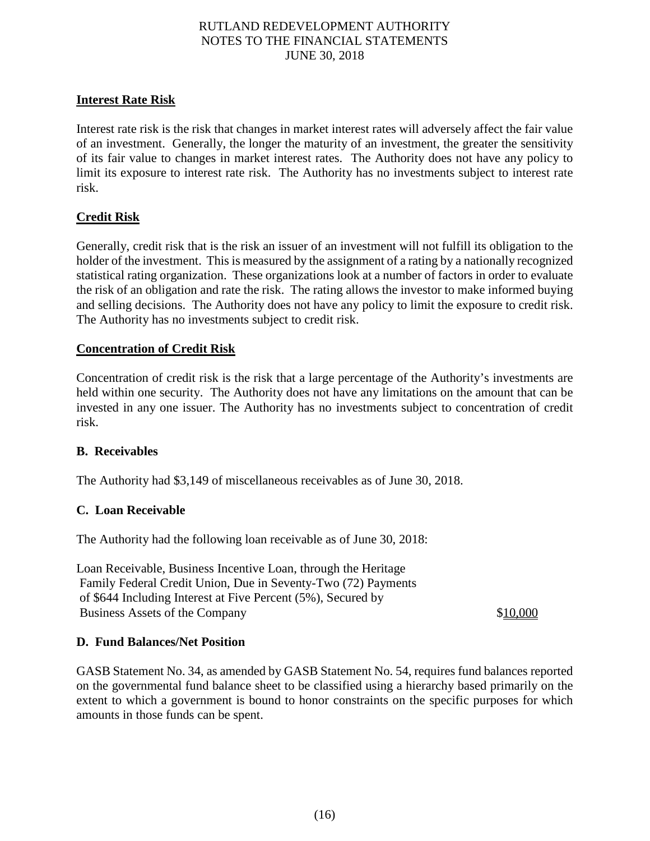## **Interest Rate Risk**

Interest rate risk is the risk that changes in market interest rates will adversely affect the fair value of an investment. Generally, the longer the maturity of an investment, the greater the sensitivity of its fair value to changes in market interest rates. The Authority does not have any policy to limit its exposure to interest rate risk. The Authority has no investments subject to interest rate risk.

## **Credit Risk**

Generally, credit risk that is the risk an issuer of an investment will not fulfill its obligation to the holder of the investment. This is measured by the assignment of a rating by a nationally recognized statistical rating organization. These organizations look at a number of factors in order to evaluate the risk of an obligation and rate the risk. The rating allows the investor to make informed buying and selling decisions. The Authority does not have any policy to limit the exposure to credit risk. The Authority has no investments subject to credit risk.

## **Concentration of Credit Risk**

Concentration of credit risk is the risk that a large percentage of the Authority's investments are held within one security. The Authority does not have any limitations on the amount that can be invested in any one issuer. The Authority has no investments subject to concentration of credit risk.

#### **B. Receivables**

The Authority had \$3,149 of miscellaneous receivables as of June 30, 2018.

## **C. Loan Receivable**

The Authority had the following loan receivable as of June 30, 2018:

Loan Receivable, Business Incentive Loan, through the Heritage Family Federal Credit Union, Due in Seventy-Two (72) Payments of \$644 Including Interest at Five Percent (5%), Secured by Business Assets of the Company  $$10,000$ 

## **D. Fund Balances/Net Position**

GASB Statement No. 34, as amended by GASB Statement No. 54, requires fund balances reported on the governmental fund balance sheet to be classified using a hierarchy based primarily on the extent to which a government is bound to honor constraints on the specific purposes for which amounts in those funds can be spent.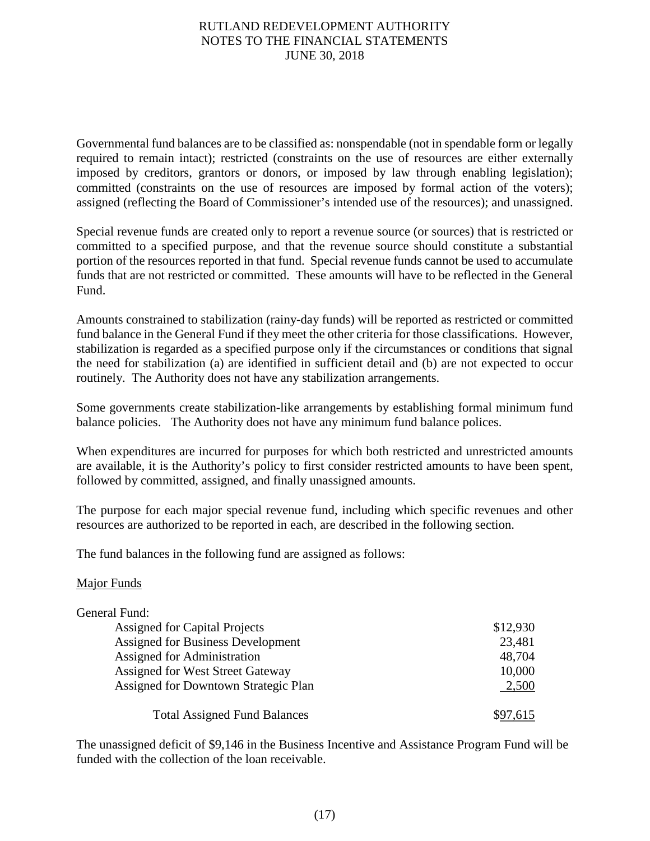Governmental fund balances are to be classified as: nonspendable (not in spendable form or legally required to remain intact); restricted (constraints on the use of resources are either externally imposed by creditors, grantors or donors, or imposed by law through enabling legislation); committed (constraints on the use of resources are imposed by formal action of the voters); assigned (reflecting the Board of Commissioner's intended use of the resources); and unassigned.

Special revenue funds are created only to report a revenue source (or sources) that is restricted or committed to a specified purpose, and that the revenue source should constitute a substantial portion of the resources reported in that fund. Special revenue funds cannot be used to accumulate funds that are not restricted or committed. These amounts will have to be reflected in the General Fund.

Amounts constrained to stabilization (rainy-day funds) will be reported as restricted or committed fund balance in the General Fund if they meet the other criteria for those classifications. However, stabilization is regarded as a specified purpose only if the circumstances or conditions that signal the need for stabilization (a) are identified in sufficient detail and (b) are not expected to occur routinely. The Authority does not have any stabilization arrangements.

Some governments create stabilization-like arrangements by establishing formal minimum fund balance policies. The Authority does not have any minimum fund balance polices.

When expenditures are incurred for purposes for which both restricted and unrestricted amounts are available, it is the Authority's policy to first consider restricted amounts to have been spent, followed by committed, assigned, and finally unassigned amounts.

The purpose for each major special revenue fund, including which specific revenues and other resources are authorized to be reported in each, are described in the following section.

The fund balances in the following fund are assigned as follows:

#### Major Funds

| General Fund:                            |          |
|------------------------------------------|----------|
| <b>Assigned for Capital Projects</b>     | \$12,930 |
| <b>Assigned for Business Development</b> | 23,481   |
| Assigned for Administration              | 48,704   |
| <b>Assigned for West Street Gateway</b>  | 10,000   |
| Assigned for Downtown Strategic Plan     | 2,500    |
| <b>Total Assigned Fund Balances</b>      | \$97,615 |

The unassigned deficit of \$9,146 in the Business Incentive and Assistance Program Fund will be funded with the collection of the loan receivable.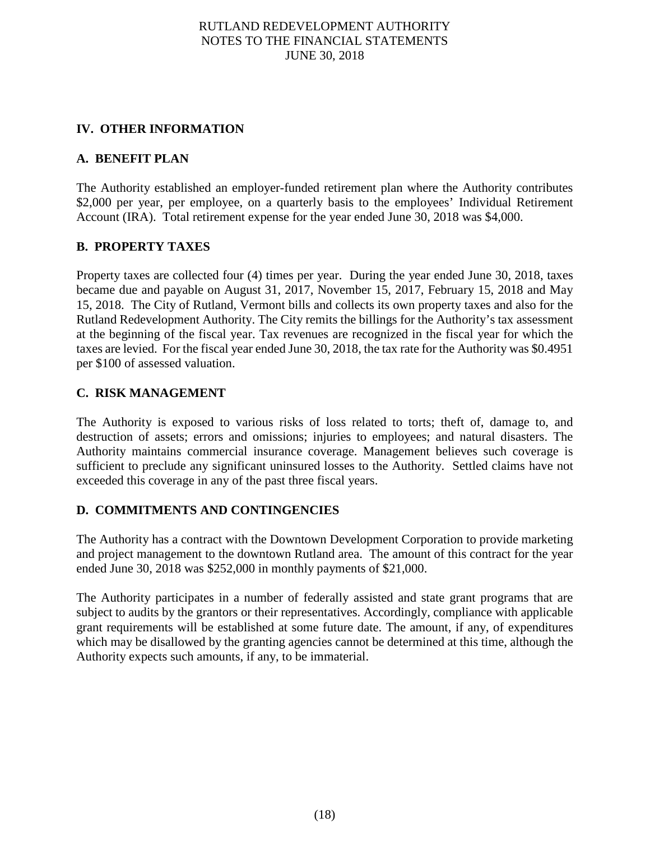## **IV. OTHER INFORMATION**

#### **A. BENEFIT PLAN**

The Authority established an employer-funded retirement plan where the Authority contributes \$2,000 per year, per employee, on a quarterly basis to the employees' Individual Retirement Account (IRA). Total retirement expense for the year ended June 30, 2018 was \$4,000.

#### **B. PROPERTY TAXES**

Property taxes are collected four (4) times per year. During the year ended June 30, 2018, taxes became due and payable on August 31, 2017, November 15, 2017, February 15, 2018 and May 15, 2018. The City of Rutland, Vermont bills and collects its own property taxes and also for the Rutland Redevelopment Authority. The City remits the billings for the Authority's tax assessment at the beginning of the fiscal year. Tax revenues are recognized in the fiscal year for which the taxes are levied. For the fiscal year ended June 30, 2018, the tax rate for the Authority was \$0.4951 per \$100 of assessed valuation.

#### **C. RISK MANAGEMENT**

The Authority is exposed to various risks of loss related to torts; theft of, damage to, and destruction of assets; errors and omissions; injuries to employees; and natural disasters. The Authority maintains commercial insurance coverage. Management believes such coverage is sufficient to preclude any significant uninsured losses to the Authority. Settled claims have not exceeded this coverage in any of the past three fiscal years.

#### **D. COMMITMENTS AND CONTINGENCIES**

The Authority has a contract with the Downtown Development Corporation to provide marketing and project management to the downtown Rutland area. The amount of this contract for the year ended June 30, 2018 was \$252,000 in monthly payments of \$21,000.

The Authority participates in a number of federally assisted and state grant programs that are subject to audits by the grantors or their representatives. Accordingly, compliance with applicable grant requirements will be established at some future date. The amount, if any, of expenditures which may be disallowed by the granting agencies cannot be determined at this time, although the Authority expects such amounts, if any, to be immaterial.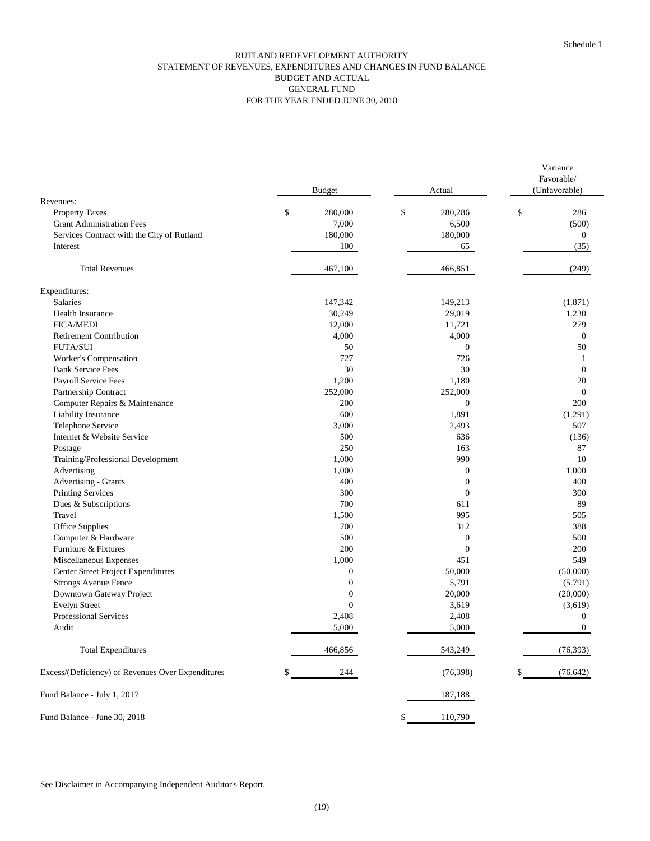#### RUTLAND REDEVELOPMENT AUTHORITY FOR THE YEAR ENDED JUNE 30, 2018 GENERAL FUND BUDGET AND ACTUAL STATEMENT OF REVENUES, EXPENDITURES AND CHANGES IN FUND BALANCE

|                                                   |    | <b>Budget</b><br>Actual |    |                  | Variance<br>Favorable/<br>(Unfavorable) |                |  |
|---------------------------------------------------|----|-------------------------|----|------------------|-----------------------------------------|----------------|--|
| Revenues:                                         |    |                         |    |                  |                                         |                |  |
| <b>Property Taxes</b>                             | \$ | 280,000                 | \$ | 280,286          | \$                                      | 286            |  |
| <b>Grant Administration Fees</b>                  |    | 7,000                   |    | 6,500            |                                         | (500)          |  |
| Services Contract with the City of Rutland        |    | 180,000                 |    | 180,000          |                                         | $\overline{0}$ |  |
| Interest                                          |    | 100                     |    | 65               |                                         | (35)           |  |
| <b>Total Revenues</b>                             |    |                         |    |                  |                                         |                |  |
|                                                   |    | 467,100                 |    | 466,851          |                                         | (249)          |  |
| Expenditures:                                     |    |                         |    |                  |                                         |                |  |
| Salaries                                          |    | 147,342                 |    | 149,213          |                                         | (1, 871)       |  |
| <b>Health Insurance</b>                           |    | 30,249                  |    | 29,019           |                                         | 1,230          |  |
| <b>FICA/MEDI</b>                                  |    | 12,000                  |    | 11,721           |                                         | 279            |  |
| <b>Retirement Contribution</b>                    |    | 4,000                   |    | 4,000            |                                         | $\Omega$       |  |
| <b>FUTA/SUI</b>                                   |    | 50                      |    | $\overline{0}$   |                                         | 50             |  |
| Worker's Compensation                             |    | 727                     |    | 726              |                                         | 1              |  |
| <b>Bank Service Fees</b>                          |    | 30                      |    | 30               |                                         | $\mathbf{0}$   |  |
| <b>Payroll Service Fees</b>                       |    | 1,200                   |    | 1,180            |                                         | 20             |  |
| Partnership Contract                              |    | 252,000                 |    | 252,000          |                                         | $\theta$       |  |
| Computer Repairs & Maintenance                    |    | 200                     |    | $\boldsymbol{0}$ |                                         | 200            |  |
| Liability Insurance                               |    | 600                     |    | 1,891            |                                         | (1,291)        |  |
| Telephone Service                                 |    | 3,000                   |    | 2,493            |                                         | 507            |  |
| Internet & Website Service                        |    | 500                     |    | 636              |                                         | (136)          |  |
| Postage                                           |    | 250                     |    | 163              |                                         | 87             |  |
| Training/Professional Development                 |    | 1,000                   |    | 990              |                                         | 10             |  |
| Advertising                                       |    | 1,000                   |    | $\boldsymbol{0}$ |                                         | 1,000          |  |
| Advertising - Grants                              |    | 400                     |    | $\overline{0}$   |                                         | 400            |  |
| Printing Services                                 |    | 300                     |    | $\overline{0}$   |                                         | 300            |  |
| Dues & Subscriptions                              |    | 700                     |    | 611              |                                         | 89             |  |
| Travel                                            |    | 1,500                   |    | 995              |                                         | 505            |  |
| Office Supplies                                   |    | 700                     |    | 312              |                                         | 388            |  |
| Computer & Hardware                               |    | 500                     |    | $\boldsymbol{0}$ |                                         | 500            |  |
| Furniture & Fixtures                              |    | 200                     |    | $\overline{0}$   |                                         | 200            |  |
| Miscellaneous Expenses                            |    | 1,000                   |    | 451              |                                         | 549            |  |
| Center Street Project Expenditures                |    | $\boldsymbol{0}$        |    | 50,000           |                                         | (50,000)       |  |
| <b>Strongs Avenue Fence</b>                       |    | $\mathbf{0}$            |    | 5,791            |                                         | (5,791)        |  |
| Downtown Gateway Project                          |    | $\mathbf{0}$            |    | 20,000           |                                         | (20,000)       |  |
| <b>Evelyn Street</b>                              |    | $\mathbf{0}$            |    | 3,619            |                                         | (3,619)        |  |
| <b>Professional Services</b>                      |    | 2,408                   |    | 2,408            |                                         | $\overline{0}$ |  |
| Audit                                             |    | 5,000                   |    | 5,000            |                                         | $\overline{0}$ |  |
| <b>Total Expenditures</b>                         |    | 466,856                 |    | 543,249          |                                         | (76, 393)      |  |
| Excess/(Deficiency) of Revenues Over Expenditures | \$ | 244                     |    | (76, 398)        | \$                                      | (76, 642)      |  |
| Fund Balance - July 1, 2017                       |    |                         |    | 187,188          |                                         |                |  |
| Fund Balance - June 30, 2018                      |    |                         | \$ | 110,790          |                                         |                |  |

See Disclaimer in Accompanying Independent Auditor's Report.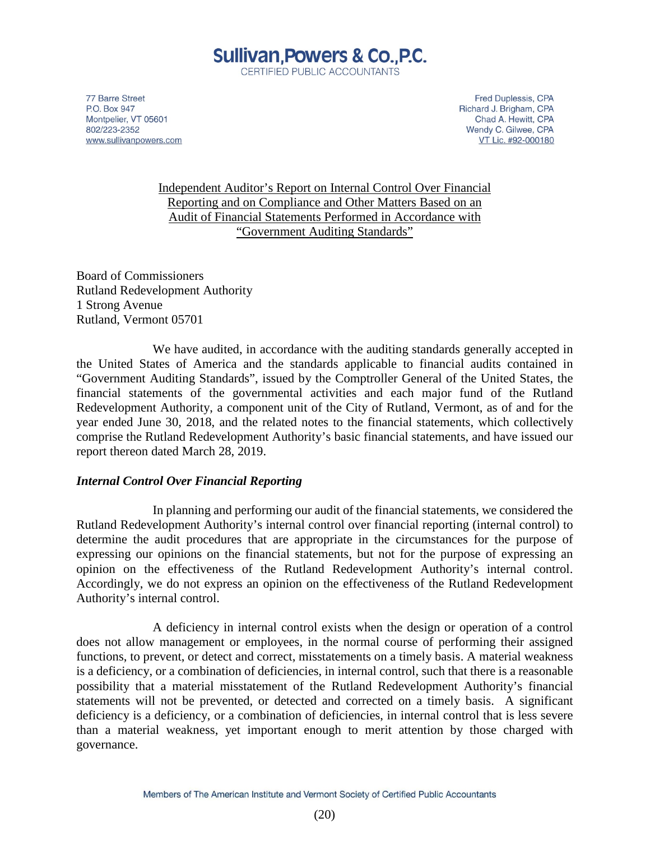# **Sullivan.Powers & Co., P.C.** CERTIFIED PUBLIC ACCOUNTANTS

**77 Barre Street** P.O. Box 947 Montpelier, VT 05601 802/223-2352 www.sullivanpowers.com

Fred Duplessis, CPA Richard J. Brigham, CPA Chad A. Hewitt, CPA Wendy C. Gilwee, CPA VT Lic. #92-000180

Independent Auditor's Report on Internal Control Over Financial Reporting and on Compliance and Other Matters Based on an Audit of Financial Statements Performed in Accordance with "Government Auditing Standards"

Board of Commissioners Rutland Redevelopment Authority 1 Strong Avenue Rutland, Vermont 05701

We have audited, in accordance with the auditing standards generally accepted in the United States of America and the standards applicable to financial audits contained in "Government Auditing Standards", issued by the Comptroller General of the United States, the financial statements of the governmental activities and each major fund of the Rutland Redevelopment Authority, a component unit of the City of Rutland, Vermont, as of and for the year ended June 30, 2018, and the related notes to the financial statements, which collectively comprise the Rutland Redevelopment Authority's basic financial statements, and have issued our report thereon dated March 28, 2019.

#### *Internal Control Over Financial Reporting*

In planning and performing our audit of the financial statements, we considered the Rutland Redevelopment Authority's internal control over financial reporting (internal control) to determine the audit procedures that are appropriate in the circumstances for the purpose of expressing our opinions on the financial statements, but not for the purpose of expressing an opinion on the effectiveness of the Rutland Redevelopment Authority's internal control. Accordingly, we do not express an opinion on the effectiveness of the Rutland Redevelopment Authority's internal control.

A deficiency in internal control exists when the design or operation of a control does not allow management or employees, in the normal course of performing their assigned functions, to prevent, or detect and correct, misstatements on a timely basis. A material weakness is a deficiency, or a combination of deficiencies, in internal control, such that there is a reasonable possibility that a material misstatement of the Rutland Redevelopment Authority's financial statements will not be prevented, or detected and corrected on a timely basis. A significant deficiency is a deficiency, or a combination of deficiencies, in internal control that is less severe than a material weakness, yet important enough to merit attention by those charged with governance.